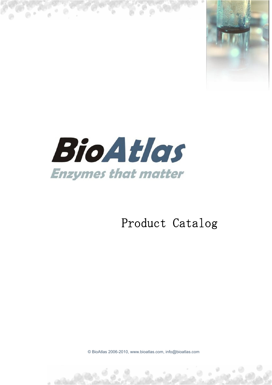



### Product Catalog Product Catalog

© BioAtlas 2006-2010, www.bioatlas.com, info@bioatlas.com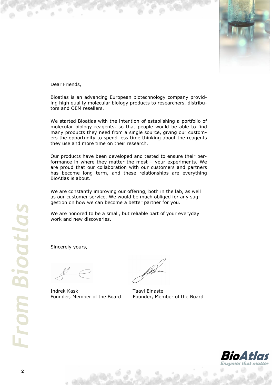

Dear Friends,

Bioatlas is an advancing European biotechnology company providing high quality molecular biology products to researchers, distributors and OEM resellers.

We started Bioatlas with the intention of establishing a portfolio of molecular biology reagents, so that people would be able to find many products they need from a single source, giving our customers the opportunity to spend less time thinking about the reagents they use and more time on their research.

Our products have been developed and tested to ensure their performance in where they matter the most – your experiments. We are proud that our collaboration with our customers and partners has become long term, and these relationships are everything BioAtlas is about.

We are constantly improving our offering, both in the lab, as well as our customer service. We would be much obliged for any suggestion on how we can become a better partner for you.

We are honored to be a small, but reliable part of your everyday work and new discoveries.

Sincerely yours,

Indrek Kask Taavi Einaste

Founder, Member of the Board Founder, Member of the Board

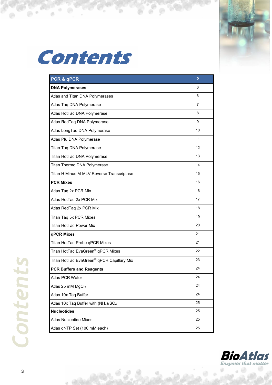

**Contents** 

 $\odot$ 

ó

 $\frac{1}{2}$ 

6

| PCR & qPCR                                                                | 5  |
|---------------------------------------------------------------------------|----|
| <b>DNA Polymerases</b>                                                    | 6  |
| Atlas and Titan DNA Polymerases                                           | 6  |
| Atlas Taq DNA Polymerase                                                  | 7  |
| Atlas HotTaq DNA Polymerase                                               | 8  |
| Atlas RedTaq DNA Polymerase                                               | 9  |
| Atlas LongTaq DNA Polymerase                                              | 10 |
| Atlas Pfu DNA Polymerase                                                  | 11 |
| Titan Taq DNA Polymerase                                                  | 12 |
| Titan HotTaq DNA Polymerase                                               | 13 |
| Titan Thermo DNA Polymerase                                               | 14 |
| Titan H Minus M-MLV Reverse Transcriptase                                 | 15 |
| <b>PCR Mixes</b>                                                          | 16 |
| Atlas Taq 2x PCR Mix                                                      | 16 |
| Atlas HotTaq 2x PCR Mix                                                   | 17 |
| Atlas RedTaq 2x PCR Mix                                                   | 18 |
| Titan Taq 5x PCR Mixes                                                    | 19 |
| Titan HotTaq Power Mix                                                    | 20 |
| qPCR Mixes                                                                | 21 |
| Titan HotTaq Probe qPCR Mixes                                             | 21 |
| Titan HotTaq EvaGreen <sup>®</sup> qPCR Mixes                             | 22 |
| Titan HotTaq EvaGreen® qPCR Capillary Mix                                 | 23 |
| <b>PCR Buffers and Reagents</b>                                           | 24 |
| Atlas PCR Water                                                           | 24 |
| Atlas 25 mM MgCl <sub>2</sub>                                             | 24 |
| Atlas 10x Taq Buffer                                                      | 24 |
| Atlas 10x Taq Buffer with (NH <sub>4</sub> ) <sub>2</sub> SO <sub>4</sub> | 25 |
| <b>Nucleotides</b>                                                        | 25 |
| <b>Atlas Nucleotide Mixes</b>                                             | 25 |
| Atlas dNTP Set (100 mM each)                                              | 25 |



ä

a

. 63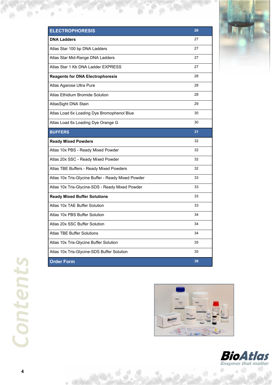| <b>ELECTROPHORESIS</b>                             | 26 |
|----------------------------------------------------|----|
| <b>DNA Ladders</b>                                 | 27 |
| Atlas Star 100 bp DNA Ladders                      | 27 |
| Atlas Star Mid-Range DNA Ladders                   | 27 |
| Atlas Star 1 Kb DNA Ladder EXPRESS                 | 27 |
| <b>Reagents for DNA Electrophoresis</b>            | 28 |
| Atlas Agarose Ultra Pure                           | 28 |
| Atlas Ethidium Bromide Solution                    | 28 |
| AtlasSight DNA Stain                               | 29 |
| Atlas Load 6x Loading Dye Bromophenol Blue         | 30 |
| Atlas Load 6x Loading Dye Orange G                 | 30 |
| <b>BUFFERS</b>                                     | 31 |
| <b>Ready Mixed Powders</b>                         | 32 |
| Atlas 10x PBS - Ready Mixed Powder                 | 32 |
| Atlas 20x SSC - Ready Mixed Powder                 | 32 |
| Atlas TBE Buffers - Ready Mixed Powders            | 32 |
| Atlas 10x Tris-Glycine Buffer - Ready Mixed Powder | 33 |
| Atlas 10x Tris-Glycine-SDS - Ready Mixed Powder    | 33 |
| <b>Ready Mixed Buffer Solutions</b>                | 33 |
| Atlas 10x TAE Buffer Solution                      | 33 |
| Atlas 10x PBS Buffer Solution                      | 34 |
| Atlas 20x SSC Buffer Solution                      | 34 |
| <b>Atlas TBE Buffer Solutions</b>                  | 34 |
| Atlas 10x Tris-Glycine Buffer Solution             | 35 |
| Atlas 10x Tris-Glycine-SDS Buffer Solution         | 35 |
| <b>Order Form</b>                                  | 36 |

Ъ

٠,



 $\odot$ 

**4**

-93 



0



 $\circ$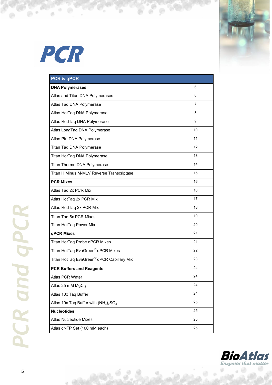

# PCR

 $\Theta$ ó

 $0.000$ 

| PCR & qPCR                                |    |
|-------------------------------------------|----|
| <b>DNA Polymerases</b>                    | 6  |
| Atlas and Titan DNA Polymerases           | 6  |
| Atlas Taq DNA Polymerase                  | 7  |
| Atlas HotTaq DNA Polymerase               | 8  |
| Atlas RedTaq DNA Polymerase               | 9  |
| Atlas LongTaq DNA Polymerase              | 10 |
| Atlas Pfu DNA Polymerase                  | 11 |
| Titan Taq DNA Polymerase                  | 12 |
| Titan HotTaq DNA Polymerase               | 13 |
| Titan Thermo DNA Polymerase               | 14 |
| Titan H Minus M-MLV Reverse Transcriptase | 15 |
| <b>PCR Mixes</b>                          | 16 |
| Atlas Taq 2x PCR Mix                      | 16 |
| Atlas HotTaq 2x PCR Mix                   | 17 |
| Atlas RedTaq 2x PCR Mix                   | 18 |
| Titan Taq 5x PCR Mixes                    | 19 |
| Titan HotTaq Power Mix                    | 20 |
| qPCR Mixes                                | 21 |
| Titan HotTaq Probe qPCR Mixes             | 21 |
| Titan HotTaq EvaGreen® qPCR Mixes         | 22 |
| Titan HotTaq EvaGreen® qPCR Capillary Mix | 23 |
| <b>PCR Buffers and Reagents</b>           | 24 |
| <b>Atlas PCR Water</b>                    | 24 |
| Atlas 25 mM MgCl <sub>2</sub>             | 24 |
| Atlas 10x Taq Buffer                      | 24 |
| Atlas 10x Taq Buffer with $(NH_4)_2SO_4$  | 25 |
| <b>Nucleotides</b>                        | 25 |
| <b>Atlas Nucleotide Mixes</b>             | 25 |
| Atlas dNTP Set (100 mM each)              | 25 |

5



ä

ø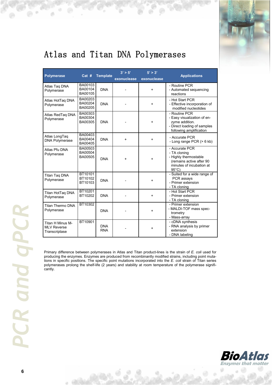

### Atlas and Titan DNA Polymerases

| <b>Polymerase</b>                                       | Cat #                         | <b>Template</b>          | 3' > 5'<br>exonuclease | 5' > 3'<br>exonuclease | <b>Applications</b>                                                                                                                |
|---------------------------------------------------------|-------------------------------|--------------------------|------------------------|------------------------|------------------------------------------------------------------------------------------------------------------------------------|
| Atlas Tag DNA<br>Polymerase                             | BA00103<br>BA00104<br>BA00105 | <b>DNA</b>               |                        | $\ddot{}$              | - Routine PCR<br>- Automated sequencing<br>reactions                                                                               |
| Atlas HotTaq DNA<br>Polymerase                          | BA00203<br>BA00204<br>BA00205 | <b>DNA</b>               |                        | $\ddot{}$              | - Hot Start PCR<br>- Effective incorporation of<br>modified nucleotides                                                            |
| Atlas RedTaq DNA<br>Polymerase                          | BA00303<br>BA00304<br>BA00305 | <b>DNA</b>               |                        | $\ddot{}$              | - Routine PCR<br>- Easy visualization of en-<br>zyme addition.<br>- Direct loading of samples<br>following amplification           |
| Atlas LongTaq<br><b>DNA Polymerase</b>                  | BA00403<br>BA00404<br>BA00405 | <b>DNA</b>               | $\ddot{}$              | $\ddot{}$              | - Accurate PCR<br>- Long range PCR $(> 6$ kb)                                                                                      |
| Atlas Pfu DNA<br>Polymerase                             | BA00503<br>BA00504<br>BA00505 | <b>DNA</b>               | $\ddot{}$              | $\ddot{}$              | - Accurate PCR<br>- TA cloning<br>- Highly thermostable<br>(remains active after 90<br>minutes of incubation at<br>$95^{\circ}$ C) |
| Titan Tag DNA<br>Polymerase                             | BT10101<br>BT10102<br>BT10103 | <b>DNA</b>               |                        | $\ddot{}$              | - Suited for a wide range of<br>PCR assays<br>- Primer extension<br>- TA cloning                                                   |
| Titan HotTag DNA<br>Polymerase                          | BT10201<br>BT10202            | <b>DNA</b>               |                        | +                      | - Hot Start PCR<br>- Primer extension<br>- TA cloning                                                                              |
| Titan Thermo DNA<br>Polymerase                          | BT10302                       | <b>DNA</b>               |                        | $\ddot{}$              | - Primer extension<br>- MALDI-TOF mass spec-<br>trometry<br>- Mass-array                                                           |
| Titan H Minus M-<br><b>MLV Reverse</b><br>Transcriptase | BT10901                       | <b>DNA</b><br><b>RNA</b> |                        | $\ddot{}$              | - cDNA synthesis<br>- RNA analysis by primer<br>extension<br>- DNA labeling                                                        |

Primary difference between polymerases in Atlas and Titan product-lines is the strain of *E. coli* used for producing the enzymes. Enzymes are produced from recombinantly modified strains, including point mutations in specific positions. The specific point mutations incorporated into the *E. coli* strain of Titan series polymerases prolong the shelf-life (2 years) and stability at room temperature of the polymerase significantly.



a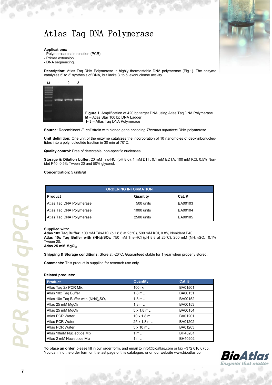### Atlas Taq DNA Polymerase

#### **Applications:**

- Polymerase chain reaction (PCR).

- Primer extension.
- DNA sequencing.

**Description:** Atlas Taq DNA Polymerase is highly thermostable DNA polymerase (Fig.1). The enzyme catalyzes 5' to 3' synthesis of DNA, but lacks 3' to 5' exonuclease activity.



 **Figure 1.** Amplification of 420 bp target DNA using Atlas Taq DNA Polymerase.  **M** – Atlas Star 100 bp DNA Ladder  **1- 3** – Atlas Taq DNA Polymerase

**Source:** Recombinant *E. coli* strain with cloned gene encoding *Thermus aquaticus* DNA polymerase.

**Unit definition:** One unit of the enzyme catalyzes the incorporation of 10 nanomoles of deoxyribonucleotides into a polynucleotide fraction in 30 min at 70°C.

**Quality control:** Free of detectable, non-specific nucleases.

**Storage & Dilution buffer:** 20 mM Tris-HCl (pH 8.0), 1 mM DTT, 0.1 mM EDTA, 100 mM KCl, 0.5% Nonidet P40, 0.5% Tween 20 and 50% glycerol.

**Concentration:** 5 units/µl

| <b>ORDERING INFORMATION</b> |            |          |  |
|-----------------------------|------------|----------|--|
| <b>Product</b>              | Quantity   | $Cat.$ # |  |
| Atlas Tag DNA Polymerase    | 500 units  | BA00103  |  |
| Atlas Tag DNA Polymerase    | 1000 units | BA00104  |  |
| Atlas Tag DNA Polymerase    | 2500 units | BA00105  |  |

### **Supplied with:**

**Atlas 10x Taq Buffer:** 100 mM Tris-HCl (pH 8.8 at 25°C), 500 mM KCl, 0.8% Nonident P40. **Atlas 10x Taq Buffer with**  $(NH_4)_2SO_4$ **:** 750 mM Tris-HCl (pH 8.8 at 25°C), 200 mM  $(NH_4)_2SO_4$ , 0.1% Tween 20.

**Atlas 25 mM MgCl<sup>2</sup>**

**Shipping & Storage conditions:** Store at -20°C. Guaranteed stable for 1 year when properly stored.

**Comments:** This product is supplied for research use only.

#### **Related products:**

| <b>Product</b>                          | <b>Quantity</b>    | $Cat.$ # |
|-----------------------------------------|--------------------|----------|
| Atlas Taq 2x PCR Mix                    | $100$ rxn          | BA01501  |
| Atlas 10x Tag Buffer                    | $1.8$ mL           | BA00151  |
| Atlas 10x Taq Buffer with $(NH4)_2SO_4$ | $1.8$ mL           | BA00152  |
| Atlas 25 mM $MgCl2$                     | $1.8$ mL           | BA00153  |
| Atlas 25 mM MgCl <sub>2</sub>           | $5 \times 1.8$ mL  | BA00154  |
| Atlas PCR Water                         | $10 \times 1.8$ mL | BA01201  |
| Atlas PCR Water                         | 25 x 1.8 mL        | BA01202  |
| Atlas PCR Water                         | $5 \times 10$ mL   | BA01203  |
| Atlas 10mM Nucleotide Mix               | 1 mL               | BH40201  |
| Atlas 2 mM Nucleotide Mix               | 1 mL               | BH40202  |

**To place an order**, please fill in our order form, and email to info@bioatlas.com or fax +372 616 6755. You can find the order form on the last page of this catalogue, or on our website www.bioatlas.com



*PCR and qPCR*  **CR** and aPCI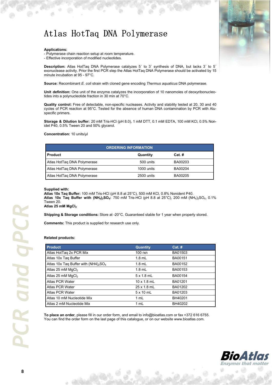### Atlas HotTaq DNA Polymerase

### **Applications:**

- Polymerase chain reaction setup at room temperature.

- Effective incorporation of modified nucleotides.

**Description:** Atlas HotTaq DNA Polymerase catalyzes 5' to 3' synthesis of DNA, but lacks 3' to 5' exonuclease activity. Prior the first PCR step the Atlas HotTaq DNA Polymerase should be activated by 15 minute incubation at 95 - 97°C.

**Source:** Recombinant *E. coli* strain with cloned gene encoding *Thermus aquaticus* DNA polymerase.

**Unit definition:** One unit of the enzyme catalyzes the incorporation of 10 nanomoles of deoxyribonucleotides into a polynucleotide fraction in 30 min at 70°C.

**Quality control:** Free of detectable, non-specific nucleases. Activity and stability tested at 20, 30 and 40 cycles of PCR reaction at 95°C. Tested for the absence of human DNA contamination by PCR with Aluspecific primers.

**Storage & Dilution buffer:** 20 mM Tris-HCl (pH 8.0), 1 mM DTT, 0.1 mM EDTA, 100 mM KCl, 0.5% Nonidet P40, 0.5% Tween 20 and 50% glycerol.

**Concentration:** 10 units/µl

| <b>ORDERING INFORMATION</b> |            |          |  |
|-----------------------------|------------|----------|--|
| <b>Product</b>              | Quantity   | $Cat.$ # |  |
| Atlas HotTag DNA Polymerase | 500 units  | BA00203  |  |
| Atlas HotTag DNA Polymerase | 1000 units | BA00204  |  |
| Atlas HotTag DNA Polymerase | 2500 units | BA00205  |  |

#### **Supplied with:**

**Atlas 10x Taq Buffer:** 100 mM Tris-HCl (pH 8.8 at 25°C), 500 mM KCl, 0.8% Nonident P40. **Atlas 10x Taq Buffer with (NH4)2SO4:** 750 mM Tris-HCl (pH 8.8 at 25°C), 200 mM (NH4)2SO4, 0.1% Tween 20.

**Atlas 25 mM MgCl<sup>2</sup>**

**Shipping & Storage conditions:** Store at -20°C. Guaranteed stable for 1 year when properly stored.

**Comments:** This product is supplied for research use only.

#### **Related products:**

| <b>Product</b>                          | <b>Quantity</b>    | $Cat.$ # |
|-----------------------------------------|--------------------|----------|
| Atlas HotTaq 2x PCR Mix                 | $100$ rxn          | BA01503  |
| Atlas 10x Tag Buffer                    | $1.8$ mL           | BA00151  |
| Atlas 10x Taq Buffer with $(NH4)_2SO_4$ | $1.8$ mL           | BA00152  |
| Atlas 25 mM $MgCl2$                     | $1.8$ mL           | BA00153  |
| Atlas 25 mM MgCl <sub>2</sub>           | 5x18ml             | BA00154  |
| Atlas PCR Water                         | $10 \times 1.8$ mL | BA01201  |
| Atlas PCR Water                         | $25 \times 1.8$ mL | BA01202  |
| Atlas PCR Water                         | $5 \times 10$ mL   | BA01203  |
| Atlas 10 mM Nucleotide Mix              | 1 mL               | BH40201  |
| Atlas 2 mM Nucleotide Mix               | 1 mL               | BH40202  |

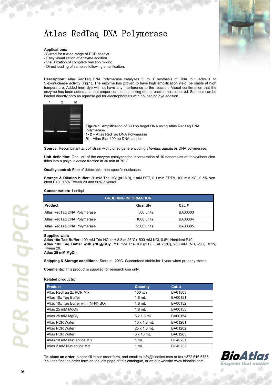### Atlas RedTaq DNA Polymerase

### **Applications:**

- Suited for a wide range of PCR assays.
- Easy visualization of enzyme addition.
- Visualization of complete reaction mixing.
- Direct loading of samples following amplification.

**Description:** Atlas RedTaq DNA Polymerase catalyzes 5´ to 3´ synthesis of DNA, but lacks 3´ to 5´exonuclease activity (Fig.1). The enzyme has proven to have high amplification yield, be stable at high temperature. Added inert dye will not have any interference to the reaction. Visual confirmation that the enzyme has been added and that proper component mixing of the reaction has occurred. Samples can be loaded directly onto an agarose gel for electrophoresis with no loading dye addition.



**Figure 1.** Amplification of 330 bp target DNA using Atlas RedTaq DNA Polymerase. **1- 2** – Atlas RedTaq DNA Polymerase **M** – Atlas Star 100 bp DNA Ladder

**Source:** Recombinant *E. coli* strain with cloned gene encoding *Thermus aquaticus* DNA polymerase.

**Unit definition:** One unit of the enzyme catalyzes the incorporation of 10 nanomoles of deoxyribonucleotides into a polynucleotide fraction in 30 min at 70°C.

**Quality control:** Free of detectable, non-specific nucleases.

**Storage & Dilution buffer:** 20 mM Tris-HCl (pH 8.0), 1 mM DTT, 0.1 mM EDTA, 100 mM KCl, 0.5% Nonident P40, 0.5% Tween 20 and 50% glycerol.

#### **Concentration:** 1 unit/µl

| <b>ORDERING INFORMATION</b> |            |          |  |
|-----------------------------|------------|----------|--|
| <b>Product</b>              | Quantity   | $Cat.$ # |  |
| Atlas RedTag DNA Polymerase | 500 units  | BA00303  |  |
| Atlas RedTag DNA Polymerase | 1000 units | BA00304  |  |
| Atlas RedTaq DNA Polymerase | 2500 units | BA00305  |  |

#### **Supplied with:**

**Atlas 10x Taq Buffer:** 100 mM Tris-HCl (pH 8.8 at 25°C), 500 mM KCl, 0.8% Nonident P40. **Atlas 10x Taq Buffer with (NH4)2SO4:** 750 mM Tris-HCl (pH 8.8 at 25°C), 200 mM (NH4)2SO4, 0.1% Tween 20. **Atlas 25 mM MgCl<sup>2</sup>**

**Shipping & Storage conditions:** Store at -20°C. Guaranteed stable for 1 year when properly stored.

**Comments:** This product is supplied for research use only.

#### **Related products:**

| <b>Product</b>                          | <b>Quantity</b>    | $Cat.$ # |
|-----------------------------------------|--------------------|----------|
| Atlas RedTag 2x PCR Mix                 | $100$ rxn          | BA01503  |
| Atlas 10x Tag Buffer                    | $1.8$ mL           | BA00151  |
| Atlas 10x Taq Buffer with $(NH4)_2SO_4$ | $1.8$ mL           | BA00152  |
| Atlas 25 mM MgCl <sub>2</sub>           | $1.8$ mL           | BA00153  |
| Atlas 25 mM $MgCl2$                     | 5x18ml             | BA00154  |
| Atlas PCR Water                         | $10 \times 1.8$ mL | BA01201  |
| Atlas PCR Water                         | 25 x 1.8 mL        | BA01202  |
| Atlas PCR Water                         | $5 \times 10$ mL   | BA01203  |
| Atlas 10 mM Nucleotide Mix              | 1 mL               | BH40201  |
| Atlas 2 mM Nucleotide Mix               | 1 mL               | BH40202  |

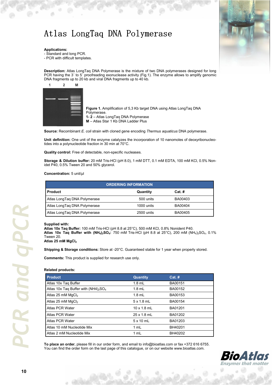## Atlas LongTaq DNA Polymerase



#### **Applications:**

- Standard and long PCR.
- PCR with difficult templates.

**Description:** Atlas LongTaq DNA Polymerase is the mixture of two DNA polymerases designed for long PCR having the 3' to 5' proofreading exonuclease activity (Fig.1). The enzyme allows to amplify genomic DNA fragments up to 20 kb and viral DNA fragments up to 40 kb.

| $\overline{2}$ | M |
|----------------|---|
|                |   |
|                |   |
|                |   |
|                |   |
|                |   |
|                |   |

**Figure 1.** Amplification of 5,3 Kb target DNA using Atlas LongTaq DNA Polymerase. **1- 2** – Atlas LongTaq DNA Polymerase **M** – Atlas Star 1 Kb DNA Ladder Plus

**Source:** Recombinant *E. coli* strain with cloned gene encoding *Thermus aquaticus* DNA polymerase.

Unit definition: One unit of the enzyme catalyzes the incorporation of 10 nanomoles of deoxyribonucleotides into a polynucleotide fraction in 30 min at 70°C.

**Quality control:** Free of detectable, non-specific nucleases.

**Storage & Dilution buffer:** 20 mM Tris-HCl (pH 8.0), 1 mM DTT, 0.1 mM EDTA, 100 mM KCl, 0.5% Nonidet P40, 0.5% Tween 20 and 50% glycerol.

#### **Concentration:** 5 unit/µl

| <b>ORDERING INFORMATION</b>  |            |          |  |
|------------------------------|------------|----------|--|
| <b>Product</b>               | Quantity   | $Cat.$ # |  |
| Atlas LongTag DNA Polymerase | 500 units  | BA00403  |  |
| Atlas LongTag DNA Polymerase | 1000 units | BA00404  |  |
| Atlas LongTag DNA Polymerase | 2500 units | BA00405  |  |

### **Supplied with:**

**Atlas 10x Taq Buffer:** 100 mM Tris-HCl (pH 8.8 at 25°C), 500 mM KCl, 0.8% Nonident P40. **Atlas 10x Taq Buffer with (NH4)2SO4:** 750 mM Tris-HCl (pH 8.8 at 25°C), 200 mM (NH4)2SO4, 0.1% Tween 20.

**Atlas 25 mM MgCl<sup>2</sup>**

**Shipping & Storage conditions:** Store at -20°C. Guaranteed stable for 1 year when properly stored.

**Comments:** This product is supplied for research use only.

#### **Related products:**

| <b>Product</b>                          | <b>Quantity</b>    | $Cat.$ # |  |
|-----------------------------------------|--------------------|----------|--|
| Atlas 10x Tag Buffer                    | $1.8$ mL           | BA00151  |  |
| Atlas 10x Tag Buffer with $(NH4)_2SO_4$ | $1.8$ mL           | BA00152  |  |
| Atlas 25 mM $MgCl2$                     | $1.8$ mL           | BA00153  |  |
| Atlas 25 mM $MgCl2$                     | $5 \times 1.8$ mL  | BA00154  |  |
| Atlas PCR Water                         | $10 \times 1.8$ mL | BA01201  |  |
| Atlas PCR Water                         | $25 \times 1.8$ mL | BA01202  |  |
| Atlas PCR Water                         | $5 \times 10$ mL   | BA01203  |  |
| Atlas 10 mM Nucleotide Mix              | 1 mL               | BH40201  |  |
| Atlas 2 mM Nucleotide Mix               | 1 mL               | BH40202  |  |

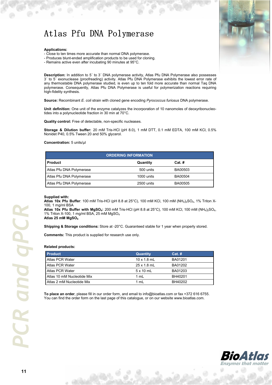### Atlas Pfu DNA Polymerase

### **Applications:**

- Close to ten times more accurate than normal DNA polymerase.

- Produces blunt-ended amplification products to be used for cloning.

- Remains active even after incubating 90 minutes at 95°C.

**Description:** In addition to 5´ to 3´ DNA polymerase activity, Atlas Pfu DNA Polymerase also possesses 3´ to 5´ exonuclease (proofreading) activity. Atlas Pfu DNA Polymerase exhibits the lowest error rate of any thermostable DNA polymerase studied, is even up to ten fold more accurate than normal Taq DNA polymerase. Consequently, Atlas Pfu DNA Polymerase is useful for polymerization reactions requiring high-fidelity synthesis.

**Source:** Recombinant *E. coli* strain with cloned gene encoding *Pyrococcus furiosus* DNA polymerase.

**Unit definition:** One unit of the enzyme catalyzes the incorporation of 10 nanomoles of deoxyribonucleotides into a polynucleotide fraction in 30 min at 70°C.

**Quality control:** Free of detectable, non-specific nucleases.

**Storage & Dilution buffer:** 20 mM Tris-HCl (pH 8.0), 1 mM DTT, 0.1 mM EDTA, 100 mM KCl, 0.5% Nonidet P40, 0.5% Tween 20 and 50% glycerol.

#### **Concentration:** 5 units/µl

| <b>ORDERING INFORMATION</b> |            |                |  |
|-----------------------------|------------|----------------|--|
| <b>Product</b>              | Quantity   | $Cat.$ #       |  |
| Atlas Pfu DNA Polymerase    | 500 units  | BA00503        |  |
| Atlas Pfu DNA Polymerase    | 1000 units | BA00504        |  |
| Atlas Pfu DNA Polymerase    | 2500 units | <b>BA00505</b> |  |

#### **Supplied with:**

**Atlas 10x Pfu Buffer**: 100 mM Tris-HCl (pH 8.8 at 25°C), 100 mM KCl, 100 mM (NH<sub>4</sub>)<sub>2</sub>SO<sub>4</sub>, 1% Triton X-100, 1 mg/ml BSA

**Atlas 10x Pfu Buffer with MgSO4:** 200 mM Tris-HCl (pH 8.8 at 25°C), 100 mM KCl, 100 mM (NH4)2SO4, 1% Triton X-100, 1 mg/ml BSA, 25 mM MgSO<sup>4</sup> **Atlas 25 mM MgSO<sup>4</sup>**

**Shipping & Storage conditions:** Store at -20°C. Guaranteed stable for 1 year when properly stored.

**Comments:** This product is supplied for research use only.

#### **Related products:**

| <b>Product</b>             | <b>Quantity</b>    | $Cat.$ # |
|----------------------------|--------------------|----------|
| Atlas PCR Water            | $10 \times 1.8$ mL | BA01201  |
| Atlas PCR Water            | $25 \times 1.8$ mL | BA01202  |
| Atlas PCR Water            | $5 \times 10$ mL   | BA01203  |
| Atlas 10 mM Nucleotide Mix | 1 mL               | BH40201  |
| Atlas 2 mM Nucleotide Mix  | 1 mL               | BH40202  |

**To place an order**, please fill in our order form, and email to info@bioatlas.com or fax +372 616 6755. You can find the order form on the last page of this catalogue, or on our website www.bioatlas.com.



*PCR and qPCR* and gPCI CR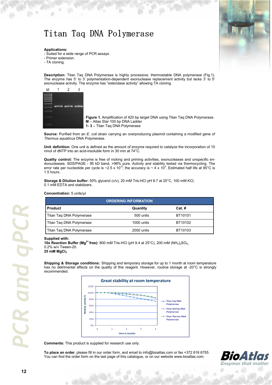### Titan Taq DNA Polymerase

### **Applications:**

- Suited for a wide range of PCR assays.

- Primer extension.
- TA cloning.



**Description:** Titan Taq DNA Polymerase is highly processive, thermostable DNA polymerase (Fig.1). The enzyme has 5' to 3' polymerisation-dependent exonuclease replacement activity but lacks 3' to 5' exonuclease activity. The enzyme has "extendase activity" allowing TA cloning.



 **Figure 1.** Amplification of 420 bp target DNA using Titan Taq DNA Polymerase.  **M** – Atlas Star 100 bp DNA Ladder  **1- 3** – Titan Taq DNA Polymerase

**Source:** Purified from an *E. coli* strain carrying an overproducing plasmid containing a modified gene of *Thermus aquaticus* DNA Polymerase.

**Unit definition:** One unit is defined as the amount of enzyme required to catalyze the incorporation of 10 nmol of dNTP into an acid-insoluble form in 30 min at 74°C.

**Quality control:** The enzyme is free of nicking and priming activities, exonucleases and unspecific endonucleases. SDS/PAGE - 95 kD band, >98% pure. Activity and stability tested via thermocycling. The error rate per nucleotide per cycle is ~2.5 x 10<sup>-5</sup>; the accuracy is ~ 4 x 10<sup>4</sup>. Estimated half life at 95°C is 1.5 hours.

**Storage & Dilution buffer:** 50% glycerol (v/v), 20 mM Tris-HCl pH 8.7 at 25°C, 100 mM KCl, 0.1 mM EDTA and stabilizers.

### **Concentration:** 5 units/µl

| <b>ORDERING INFORMATION</b> |            |          |  |
|-----------------------------|------------|----------|--|
| <b>Product</b>              | Quantity   | $Cat.$ # |  |
| Titan Tag DNA Polymerase    | 500 units  | BT10101  |  |
| Titan Tag DNA Polymerase    | 1000 units | BT10102  |  |
| Titan Tag DNA Polymerase    | 2000 units | BT10103  |  |

#### **Supplied with:**

**10x Reaction Buffer (Mg<sup>2+</sup> free):** 800 mM Tris-HCl (pH 9.4 at 25°C), 200 mM (NH<sub>4</sub>)<sub>2</sub>SO<sub>4</sub>, 0.2% w/v Tween-20. **25 mM MgCl<sup>2</sup>**

**Shipping & Storage conditions:** Shipping and temporary storage for up to 1 month at room temperature has no detrimental effects on the quality of this reagent. However, routine storage at -20°C is strongly recommended.



**Comments:** This product is supplied for research use only.

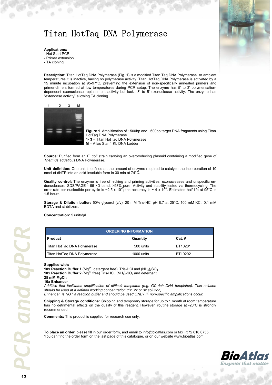### Titan HotTaq DNA Polymerase



### **Applications:**

- Hot Start PCR.
- Primer extension.
- TA cloning.

**Description:** Titan HotTaq DNA Polymerase (Fig. 1) is a modified Titan Taq DNA Polymerase. At ambient temperatures it is inactive, having no polymerase activity. Titan HotTaq DNA Polymerase is activated by a 15 minute incubation at 95-97°C, preventing the extension of non-specifically annealed primers and primer-dimers formed at low temperatures during PCR setup. The enzyme has 5' to 3' polymerisationdependent exonuclease replacement activity but lacks 3' to 5' exonuclease activity. The enzyme has "extendase activity" allowing TA cloning.



**Figure 1.** Amplification of ~500bp and ~600bp target DNA fragments using Titan HotTaq DNA Polymerase.  **1- 3** – Titan HotTaq DNA Polymerase  **M** – Atlas Star 1 Kb DNA Ladder

**Source:** Purified from an *E. coli* strain carrying an overproducing plasmid containing a modified gene of *Thermus aquaticus* DNA Polymerase.

**Unit definition:** One unit is defined as the amount of enzyme required to catalyze the incorporation of 10 nmol of dNTP into an acid-insoluble form in 30 min at 74°C.

**Quality control:** The enzyme is free of nicking and priming activities, exonucleases and unspecific endonucleases. SDS/PAGE - 95 kD band, >98% pure. Activity and stability tested via thermocycling. The<br>error rate per nucleotide per cycle is ~2.5 x 10<sup>-5</sup>; the accuracy is ~ 4 x 10<sup>4</sup>. Estimated half life at 95°C is 1.5 hours.

**Storage & Dilution buffer:** 50% glycerol (v/v), 20 mM Tris-HCl pH 8.7 at 25°C, 100 mM KCl, 0.1 mM EDTA and stabilizers.

**Concentration:** 5 units/µl

| <b>ORDERING INFORMATION</b> |            |          |  |
|-----------------------------|------------|----------|--|
| <b>Product</b>              | Quantity   | $Cat.$ # |  |
| Titan HotTag DNA Polymerase | 500 units  | BT10201  |  |
| Titan HotTag DNA Polymerase | 1000 units | BT10202  |  |

#### **Supplied with:**

**10x Reaction Buffer 1** (Mg<sup>2+</sup>, detergent free), Tris-HCl and (NH<sub>4</sub>)<sub>2</sub>SO<sub>4</sub> **10x Reaction Buffer 2** (Mg<sup>2+</sup> free) Tris-HCl,  $(NH_4)_2SO_4$  and detergent **25 mM MgCl<sup>2</sup> 10x Enhancer** 

*Additive that facilitates amplification of difficult templates (e.g. GC-rich DNA templates). This solution should be used at a defined working concentration (1x, 2x or 3x solution).*

*Enhancer is NOT a reaction buffer and should be used ONLY IF non-specific amplifications occur.*

**Shipping & Storage conditions:** Shipping and temporary storage for up to 1 month at room temperature has no detrimental effects on the quality of this reagent. However, routine storage at -20°C is strongly recommended.

**Comments:** This product is supplied for research use only.

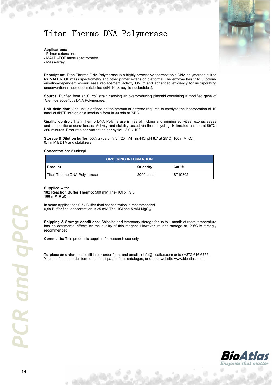### Titan Thermo DNA Polymerase



### **Applications:**

- Primer extension.
- MALDI-TOF mass spectrometry.
- Mass-array.

**Description:** Titan Thermo DNA Polymerase is a highly processive thermostable DNA polymerase suited for MALDI-TOF mass spectrometry and other primer extension platforms. The enzyme has 5' to 3' polymerisation-dependent exonuclease replacement activity ONLY and enhanced efficiency for incorporating unconventional nucleotides (labeled ddNTPs & acyclo nucleotides).

**Source:** Purified from an *E. coli* strain carrying an overproducing plasmid containing a modified gene of *Thermus aquaticus* DNA Polymerase.

**Unit definition:** One unit is defined as the amount of enzyme required to catalyze the incorporation of 10 nmol of dNTP into an acid-insoluble form in 30 min at 74°C.

**Quality control:** Titan Thermo DNA Polymerase is free of nicking and priming activities, exonucleases and unspecific endonucleases. Activity and stability tested via thermocycling. Estimated half life at 95°C:  $>$  60 minutes. Error rate per nucleotide per cycle:  $\sim$  8.0 x 10<sup>-5</sup>.

**Storage & Dilution buffer:** 50% glycerol (v/v), 20 mM Tris-HCl pH 8.7 at 25°C, 100 mM KCl, 0.1 mM EDTA and stabilizers.

#### **Concentration:** 5 units/µl

| <b>ORDERING INFORMATION</b> |            |          |  |
|-----------------------------|------------|----------|--|
| I Product                   | Quantity   | $Cat.$ # |  |
| Titan Thermo DNA Polymerase | 2000 units | BT10302  |  |

#### **Supplied with:**

**10x Reaction Buffer Thermo:** 500 mM Tris-HCl pH 9.5 **100 mM MgCl<sup>2</sup>**

In some applications 0.5x Buffer final concentration is recommended. 0,5x Buffer final concentration is 25 mM Tris-HCl and 5 mM MgCl<sub>2</sub>.

**Shipping & Storage conditions:** Shipping and temporary storage for up to 1 month at room temperature has no detrimental effects on the quality of this reagent. However, routine storage at -20°C is strongly recommended.

**Comments:** This product is supplied for research use only.

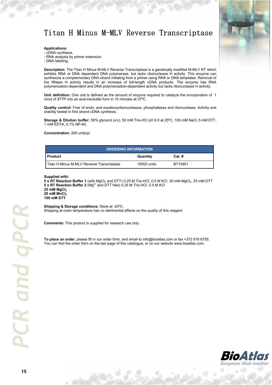### Titan H Minus M-MLV Reverse Transcriptase



### **Applications:**

- cDNA synthesis.

- RNA analysis by primer extension.
- DNA labeling.

**Description:** The Titan H Minus M-MLV Reverse Transcriptase is a genetically modified M-MLV RT which exhibits RNA or DNA dependent DNA polymerase, but lacks ribonuclease H activity. This enzyme can synthesize a complementary DNA strand initiating from a primer using RNA or DNA templates. Removal of the RNase H activity results in an increase of full-length cDNA products. The enzyme has RNA polymerization-dependent and DNA polymerization-dependent activity but lacks ribonuclease H activity.

**Unit definition:** One unit is defined as the amount of enzyme required to catalyze the incorporation of 1 nmol of dTTP into an acid-insoluble form in 10 minutes at 37ºC.

**Quality control:** Free of endo- and exodeoxyribonucleases, phosphatases and ribonuclease. Activity and stability tested in first strand cDNA synthesis.

**Storage & Dilution buffer:** 50% glycerol (v/v), 50 mM Tris-HCl pH 8.0 at 25ºC, 100 mM NaCl, 5 mM DTT, 1 mM EDTA, 0.1% NP-40.

**Concentration:** 200 units/µl

| <b>ORDERING INFORMATION</b>               |             |          |  |
|-------------------------------------------|-------------|----------|--|
| l Product                                 | Quantity    | $Cat.$ # |  |
| Titan H Minus M-MLV Reverse Transcriptase | 10000 units | BT10901  |  |

**Supplied with:** 

**5 x RT Reaction Buffer 1** (with MgCl2 and DTT) *0.25 M Tris-HCl, 0.5 M KCl, 30 mM MgCl2, 25 mM DTT* 5 x RT Reaction Buffer 2 (Mg<sup>2+</sup> and DTT free) 0.25 M Tris-HCl, 0.5 M KCl **25 mM MgCl<sup>2</sup> 20 mM MnCl<sup>2</sup> 100 mM DTT** 

**Shipping & Storage conditions:** Store at -20ºC. Shipping at room temperature has no detrimental effects on the quality of this reagent.

**Comments:** This product is supplied for research use only.

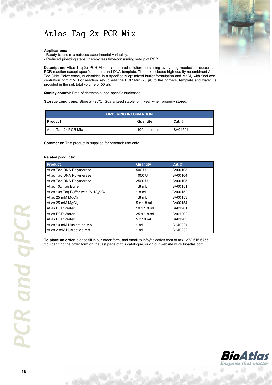### Atlas Taq 2x PCR Mix

#### **Applications:**

- Ready-to-use mix reduces experimental variability.

- Reduced pipetting steps, thereby less time-consuming set-up of PCR.

**Description:** Atlas Taq 2x PCR Mix is a prepared solution containing everything needed for successful PCR reaction except specific primers and DNA template. The mix includes high-quality recombinant Atlas Taq DNA Polymerase, nucleotides in a specifically optimized buffer formulation and MgCl<sub>2</sub> with final concentration of 2 mM. For reaction set-up add the PCR Mix (25 µl) to the primers, template and water (is provided in the set; total volume of 50 µl).

**Quality control:** Free of detectable, non-specific nucleases.

**Storage conditions:** Store at -20ºC. Guaranteed stable for 1 year when properly stored.

| <b>ORDERING INFORMATION</b> |               |          |
|-----------------------------|---------------|----------|
| l Product                   | Quantity      | $Cat.$ # |
| Atlas Tag 2x PCR Mix        | 100 reactions | BA01501  |

**Comments:** This product is supplied for research use only.

### **Related products:**

| <b>Product</b>                                                            | <b>Quantity</b>    | $Cat.$ # |
|---------------------------------------------------------------------------|--------------------|----------|
| Atlas Tag DNA Polymerase                                                  | 500 U              | BA00103  |
| Atlas Tag DNA Polymerase                                                  | 1000 U             | BA00104  |
| Atlas Tag DNA Polymerase                                                  | 2500 U             | BA00105  |
| Atlas 10x Tag Buffer                                                      | $1.8$ mL           | BA00151  |
| Atlas 10x Taq Buffer with (NH <sub>4</sub> ) <sub>2</sub> SO <sub>4</sub> | $1.8$ mL           | BA00152  |
| Atlas 25 mM MgCl <sub>2</sub>                                             | $1.8$ mL           | BA00153  |
| Atlas 25 mM MgCl <sub>2</sub>                                             | $5 \times 1.8$ mL  | BA00154  |
| Atlas PCR Water                                                           | $10 \times 1.8$ mL | BA01201  |
| Atlas PCR Water                                                           | 25 x 1.8 mL        | BA01202  |
| Atlas PCR Water                                                           | $5 \times 10$ mL   | BA01203  |
| Atlas 10 mM Nucleotide Mix                                                | 1 mL               | BH40201  |
| Atlas 2 mM Nucleotide Mix                                                 | 1 mL               | BH40202  |

**To place an order**, please fill in our order form, and email to info@bioatlas.com or fax +372 616 6755. You can find the order form on the last page of this catalogue, or on our website www.bioatlas.com.





ä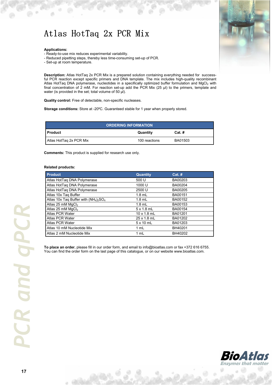### Atlas HotTaq 2x PCR Mix

#### **Applications:**

- Ready-to-use mix reduces experimental variability.

- Reduced pipetting steps, thereby less time-consuming set-up of PCR.
- Set-up at room temperature.

**Description:** Atlas HotTaq 2x PCR Mix is a prepared solution containing everything needed for successful PCR reaction except specific primers and DNA template. The mix includes high-quality recombinant Atlas HotTaq DNA polymerase, nucleotides in a specifically optimized buffer formulation and MqCl<sub>2</sub> with final concentration of 2 mM. For reaction set-up add the PCR Mix (25 µl) to the primers, template and water (is provided in the set; total volume of 50 µl).

**Quality control:** Free of detectable, non-specific nucleases.

**Storage conditions:** Store at -20ºC. Guaranteed stable for 1 year when properly stored.

| <b>ORDERING INFORMATION</b> |               |          |
|-----------------------------|---------------|----------|
| l Product                   | Quantity      | $Cat.$ # |
| Atlas HotTag 2x PCR Mix     | 100 reactions | BA01503  |

**Comments:** This product is supplied for research use only.

#### **Related products:**

| <b>Product</b>                           | <b>Quantity</b>    | $Cat.$ # |
|------------------------------------------|--------------------|----------|
| Atlas HotTaq DNA Polymerase              | 500 U              | BA00203  |
| Atlas HotTaq DNA Polymerase              | 1000 U             | BA00204  |
| Atlas HotTaq DNA Polymerase              | 2500 U             | BA00205  |
| Atlas 10x Tag Buffer                     | $1.8$ mL           | BA00151  |
| Atlas 10x Tag Buffer with $(NH_4)_2SO_4$ | $1.8$ mL           | BA00152  |
| Atlas 25 mM MgCl <sub>2</sub>            | $1.8$ mL           | BA00153  |
| Atlas 25 mM MgCl <sub>2</sub>            | $5 \times 1.8$ mL  | BA00154  |
| Atlas PCR Water                          | $10 \times 1.8$ mL | BA01201  |
| Atlas PCR Water                          | 25 x 1.8 mL        | BA01202  |
| Atlas PCR Water                          | $5 \times 10$ mL   | BA01203  |
| Atlas 10 mM Nucleotide Mix               | 1 mL               | BH40201  |
| Atlas 2 mM Nucleotide Mix                | 1 mL               | BH40202  |

**To place an order**, please fill in our order form, and email to info@bioatlas.com or fax +372 616 6755. You can find the order form on the last page of this catalogue, or on our website www.bioatlas.com.





a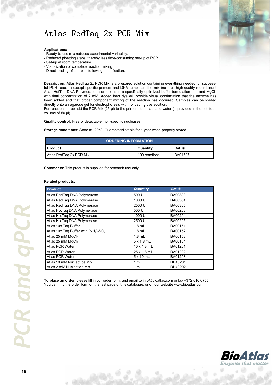### Atlas RedTaq 2x PCR Mix

#### **Applications:**

- Ready-to-use mix reduces experimental variability.
- Reduced pipetting steps, thereby less time-consuming set-up of PCR.
- Set-up at room temperature.
- Visualization of complete reaction mixing.
- Direct loading of samples following amplification.

**Description:** Atlas RedTaq 2x PCR Mix is a prepared solution containing everything needed for successful PCR reaction except specific primers and DNA template. The mix includes high-quality recombinant Atlas HotTaq DNA Polymerase, nucleotides in a specifically optimized buffer formulation and and MgCl<sub>2</sub> with final concentration of 2 mM. Added inert dye will provide visual confirmation that the enzyme has been added and that proper component mixing of the reaction has occurred. Samples can be loaded directly onto an agarose gel for electrophoresis with no loading dye addition.

For reaction set-up add the PCR Mix (25 µl) to the primers, template and water (is provided in the set; total volume of 50 µl).

**Quality control:** Free of detectable, non-specific nucleases.

**Storage conditions:** Store at -20ºC. Guaranteed stable for 1 year when properly stored.

| <b>ORDERING INFORMATION</b> |               |          |
|-----------------------------|---------------|----------|
| <b>Product</b>              | Quantity      | $Cat.$ # |
| Atlas RedTag 2x PCR Mix     | 100 reactions | BA01507  |

**Comments:** This product is supplied for research use only.

#### **Related products:**

| <b>Product</b>                           | <b>Quantity</b>    | $Cat.$ # |
|------------------------------------------|--------------------|----------|
| Atlas RedTag DNA Polymerase              | 500 U              | BA00303  |
| Atlas RedTag DNA Polymerase              | 1000 U             | BA00304  |
| Atlas RedTaq DNA Polymerase              | 2500 U             | BA00305  |
| Atlas HotTag DNA Polymerase              | 500 U              | BA00203  |
| Atlas HotTag DNA Polymerase              | 1000 U             | BA00204  |
| Atlas HotTaq DNA Polymerase              | 2500 U             | BA00205  |
| Atlas 10x Taq Buffer                     | $1.8$ mL           | BA00151  |
| Atlas 10x Taq Buffer with $(NH_4)_2SO_4$ | $1.8$ mL           | BA00152  |
| Atlas 25 mM MgCl <sub>2</sub>            | $1.8$ mL           | BA00153  |
| Atlas 25 mM MgCl <sub>2</sub>            | $5 \times 1.8$ mL  | BA00154  |
| Atlas PCR Water                          | $10 \times 1.8$ mL | BA01201  |
| Atlas PCR Water                          | 25 x 1.8 mL        | BA01202  |
| Atlas PCR Water                          | $5 \times 10$ mL   | BA01203  |
| Atlas 10 mM Nucleotide Mix               | 1 mL               | BH40201  |
| Atlas 2 mM Nucleotide Mix                | 1 mL               | BH40202  |

**To place an order**, please fill in our order form, and email to info@bioatlas.com or fax +372 616 6755. You can find the order form on the last page of this catalogue, or on our website www.bioatlas.com.



*PCR and qPCR* **CR** and gPCI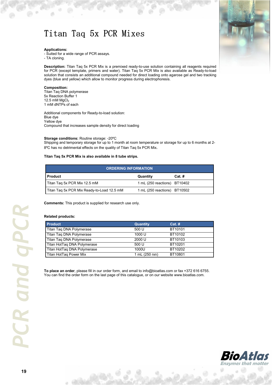### Titan Taq 5x PCR Mixes

#### **Applications:**

- Suited for a wide range of PCR assays.

- TA cloning.

**Description:** Titan Taq 5x PCR Mix is a premixed ready-to-use solution containing all reagents required for PCR (except template, primers and water). Titan Taq 5x PCR Mix is also available as Ready-to-load solution that consists an additional compound needed for direct loading onto agarose gel and two tracking dyes (blue and yellow) which allow to monitor progress during electrophoresis.

#### **Composition:**

Titan Taq DNA polymerase 5x Reaction Buffer 1  $12.5$  mM MgCl<sub>2</sub> 1 mM dNTPs of each

Additional components for Ready-to-load solution: Blue dye Yellow dye Compound that increases sample density for direct loading

#### **Storage conditions:** Routine storage: -20ºC

Shipping and temporary storage for up to 1 month at room temperature or storage for up to 6 months at 2- 8ºC has no detrimental effects on the quality of Titan Taq 5x PCR Mix.

#### **Titan Taq 5x PCR Mix is also available in 8 tube strips.**

| <b>ORDERING INFORMATION</b>                |                              |          |
|--------------------------------------------|------------------------------|----------|
| <b>Product</b>                             | Quantity                     | $Cat.$ # |
| Titan Tag 5x PCR Mix 12.5 mM               | 1 mL (250 reactions) BT10402 |          |
| Titan Tag 5x PCR Mix Ready-to-Load 12.5 mM | 1 mL (250 reactions) BT10502 |          |

**Comments:** This product is supplied for research use only.

#### **Related products:**

| <b>Product</b>              | <b>Quantity</b> | $Cat.$ # |
|-----------------------------|-----------------|----------|
| Titan Taq DNA Polymerase    | 500 U           | BT10101  |
| Titan Taq DNA Polymerase    | 1000 U          | BT10102  |
| Titan Tag DNA Polymerase    | 2000 U          | BT10103  |
| Titan HotTag DNA Polymerase | 500 U           | BT10201  |
| Titan HotTaq DNA Polymerase | 1000U           | BT10202  |
| Titan HotTag Power Mix      | 1 mL (250 rxn)  | BT10801  |

**To place an order**, please fill in our order form, and email to info@bioatlas.com or fax +372 616 6755. You can find the order form on the last page of this catalogue, or on our website www.bioatlas.com.



*PCR and qPCR* **CR** and gPCI

**19**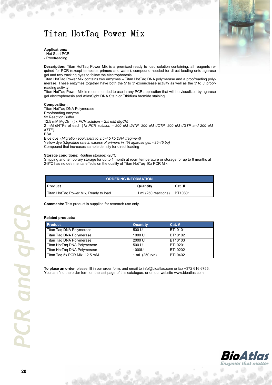### Titan HotTaq Power Mix



### **Applications:**

- Hot Start PCR

- Proofreading

**Description:** Titan HotTaq Power Mix is a premixed ready to load solution containing: all reagents required for PCR (except template, primers and water), compound needed for direct loading onto agarose gel and two tracking dyes to follow the electrophoresis.

Titan HotTaq Power Mix contains two enzymes – Titan HotTaq DNA polymerase and a proofreading polymerase. These enzymes together have both the 5' to 3' exonuclease activity as well as the 3' to 5' proofreading activity.

Titan HotTaq Power Mix is recommended to use in any PCR application that will be visualized by agarose gel electrophoresis and AtlasSight DNA Stain or Ethidium bromide staining.

#### **Composition:**

Titan HotTaq DNA Polymerase Proofreading enzyme 5x Reaction Buffer 12.5 mM MgCl2 (*1x PCR solution – 2.5 mM MgCl2)*  2 mM dNTPs of each (*1x PCR solution – 200 µM dATP, 200 µM dCTP, 200 µM dGTP and 200 µM dTTP)*  **BSA** Blue dye (*Migration equivalent to 3.5-4.5 kb DNA fragment)* 

Yellow dye (*Migration rate in excess of primers in 1% agarose gel: <35-45 bp)*  Compound that increases sample density for direct loading

#### **Storage conditions:** Routine storage: -20ºC

Shipping and temporary storage for up to 1 month at room temperature or storage for up to 6 months at 2-8ºC has no detrimental effects on the quality of Titan HotTaq 10x PCR Mix.

| <b>ORDERING INFORMATION</b>           |                              |          |
|---------------------------------------|------------------------------|----------|
| I Product                             | Quantity                     | $Cat.$ # |
| Titan HotTag Power Mix, Ready to load | 1 ml (250 reactions) BT10801 |          |

**Comments:** This product is supplied for research use only.

#### **Related products:**

| <b>Product</b>                | <b>Quantity</b> | $Cat.$ # |
|-------------------------------|-----------------|----------|
| Titan Taq DNA Polymerase      | 500 U           | BT10101  |
| Titan Taq DNA Polymerase      | 1000 U          | BT10102  |
| Titan Tag DNA Polymerase      | 2000 U          | BT10103  |
| Titan HotTag DNA Polymerase   | 500 U           | BT10201  |
| Titan HotTaq DNA Polymerase   | 1000U           | BT10202  |
| Titan Tag 5x PCR Mix, 12.5 mM | 1 mL (250 rxn)  | BT10402  |

**To place an order**, please fill in our order form, and email to info@bioatlas.com or fax +372 616 6755. You can find the order form on the last page of this catalogue, or on our website www.bioatlas.com.



a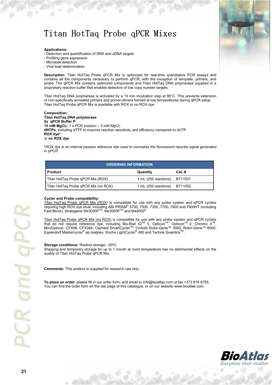### Titan HotTaq Probe qPCR Mixes

### **Applications:**

- Detection and quantification of DNA and cDNA targets
- Profiling gene expression
- Microbial detection
- Viral load determination

**Description:** Titan HotTaq Probe qPCR Mix is optimized for real-time quantitative PCR assays and contains all the components necessary to perform qPCR, with the exception of template, primers, and probe. The qPCR Mix contains optimized components and Titan HotTaq DNA polymerase supplied in a proprietary reaction buffer that enables detection of low copy number targets.

Titan HotTaq DNA polymerase is activated by a 15 min incubation step at 95°C. This prevents extension of non-specifically annealed primers and primer-dimers formed at low temperatures during qPCR setup. Titan HotTaq Probe qPCR Mix is available with ROX or no ROX dye.

**Composition: Titan HotTaq DNA polymerase 5x qPCR Buffer P 15 mM MgCl2:** *1 x PCR solution – 3 mM MgCl<sup>2</sup>* **dNTPs**, including dTTP to improve reaction sensitivity and efficiency compared to dUTP **ROX dye\*** or **no ROX dye** 

**\****ROX dye is an internal passive reference dye used to normalize the fluorescent reporter signal generated in qPCR.* 

| <b>ORDERING INFORMATION</b>          |                              |          |
|--------------------------------------|------------------------------|----------|
| <b>Product</b>                       | Quantity                     | $Cat.$ # |
| Titan HotTag Probe qPCR Mix (ROX)    | 1 mL (250 reactions) BT11001 |          |
| Titan HotTaq Probe qPCR Mix (no ROX) | 1 mL (250 reactions) BT11002 |          |

### **Cycler and Probe compatibility:**

Titan HotTaq Probe qPCR Mix (ROX) is compatible for use with any probe system and qPCR cyclers requiring high ROX dye level, including ABI PRISM® 5700, 7000, 7300, 7700, 7900 and 7900HT (including Fast-Block); Stratagene Mx3000P™, Mx3005P™ and Mx4000<sup>®</sup>.

Titan HotTaq Probe qPCR Mix (no ROX) is compatible for use with any probe system and qPCR cyclers that do not require reference dye, including Bio-Rad iQ™ 5, Opticon<sup>™</sup>, Opticon™ 2; Chromo 4™,<br>MiniOpticon, CFX96, CFX384; Cepheid SmartCycler™; Corbett Rotor-Gene™ 3000, Rotor-Gene™ 6000; Eppendorf Mastercycler<sup>®</sup> ep realplex; Roche LightCycler<sup>®</sup> 480 and Techne Quantica<sup>™</sup>.

#### **Storage conditions:** Routine storage: -20ºC

Shipping and temporary storage for up to 1 month at room temperature has no detrimental effects on the quality of Titan HotTaq Probe qPCR Mix.

**Comments:** This product is supplied for research use only.

**To place an order**, please fill in our order form, and email to info@bioatlas.com or fax +372 616 6755. You can find the order form on the last page of this catalogue, or on our website www.bioatlas.com.



**21** *PCR and qPCR*  **CR** and aPCI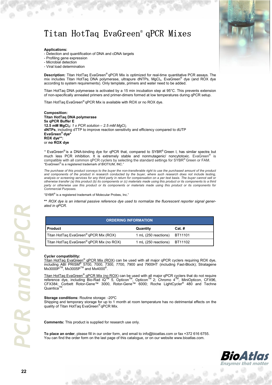### Titan HotTaq EvaGreen<sup>®</sup> qPCR Mixes

#### **Applications:**

- Detection and quantification of DNA and cDNA targets

- Profiling gene expression
- Microbial detection
- Viral load determination

**Description:** Titan HotTaq EvaGreen*®* qPCR Mix is optimized for real-time quantitative PCR assays. The mix includes Titan HotTaq DNA polymerase, ultrapure dNTPs, MgCl<sub>2</sub>, EvaGreen® dye (and ROX dye according to system requirements). Only template, primers and water need to be added.

Titan HotTaq DNA polymerase is activated by a 15 min incubation step at 95°C. This prevents extension of non-specifically annealed primers and primer-dimers formed at low temperatures during qPCR setup.

Titan HotTaq EvaGreen*®* qPCR Mix is available with ROX or no ROX dye.

**Composition: Titan HotTaq DNA polymerase 5x qPCR Buffer E 12.5 mM MgCl2:** *1 x PCR solution – 2.5 mM MgCl<sup>2</sup>* **dNTPs**, including dTTP to improve reaction sensitivity and efficiency compared to dUTP **EvaGreen® dye\* ROX dye\*\*:**  or **no ROX dye** 

*\** EvaGreen® is a DNA-binding dye for qPCR that, compared to SYBR ® Green I, has similar spectra but much less PCR inhibition. It is extremely stable and nonmutagenic/ noncytotoxic. EvaGreen<sup>®</sup> is compatible with all common qPCR cyclers by selecting the standard settings for SYBR® Green or FAM. "EvaGreen® is a registered trademark of BIOTIUM, INC."

*The purchase of this product conveys to the buyer the non-transferable right to use the purchased amount of the product and components of the product in research conducted by the buyer, where such research does not include testing, analysis or screening services for any third party in return for compensation on a per test basis. The buyer cannot sell or otherwise transfer (a) this product (b) its components or (c) materials made using this product or its components to a third party or otherwise use this product or its components or materials made using this product or its components for Commercial Purposes.*

"SYBR® is a registered trademark of Molecular Probes, Inc."

**\*\*** *ROX dye is an internal passive reference dye used to normalize the fluorescent reporter signal generated in qPCR.* 

| <b>ORDERING INFORMATION</b>                          |                              |          |
|------------------------------------------------------|------------------------------|----------|
| <b>Product</b>                                       | Quantity                     | $Cat.$ # |
| Titan HotTaq EvaGreen <sup>®</sup> qPCR Mix (ROX)    | 1 mL (250 reactions) BT11101 |          |
| Titan HotTaq EvaGreen <sup>®</sup> qPCR Mix (no ROX) | 1 mL (250 reactions) BT11102 |          |

#### **Cycler compatibility:**

Titan HotTaq EvaGreen<sup>®</sup> qPCR Mix (ROX) can be used with all major qPCR cyclers requiring ROX dye, including ABI PRISM® 5700, 7000, 7300, 7700, 7900 and 7900HT (including Fast-Block); Stratagene<br>Mx3000P™, Mx3005P™ and Mx4000®.

Titan HotTaq EvaGreen<sup>®</sup> qPCR Mix (no ROX) can be used with all major qPCR cyclers that do not require<br>reference dye, including Bio-Rad iQ™ 5, Opticon™, Opticon™ 2; Chromo 4™, MiniOpticon, CFX96, CFX384; Corbett Rotor-Gene™ 3000, Rotor-Gene™ 6000; Roche LightCycler<sup>®</sup> 480 and Techne<br>Quantica™

#### **Storage conditions:** Routine storage: -20ºC

Shipping and temporary storage for up to 1 month at room temperature has no detrimental effects on the quality of Titan HotTaq EvaGreen*®* qPCR Mix.

**Comments:** This product is supplied for research use only.



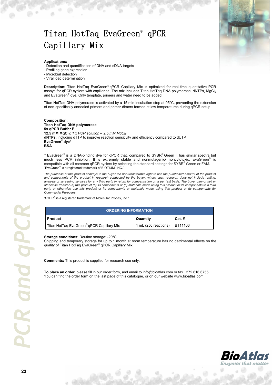### Titan HotTaq EvaGreen<sup>®</sup> qPCR Capillary Mix Mix

### **Applications:**

- Detection and quantification of DNA and cDNA targets
- Profiling gene expression
- Microbial detection
- Viral load determination

**Description:** Titan HotTaq EvaGreen*®* qPCR Capillary Mix is optimized for real-time quantitative PCR assays for qPCR cyclers with capillaries. The mix includes Titan HotTaq DNA polymerase, dNTPs, MgCl<sub>2</sub> and EvaGreen<sup>®</sup> dye. Only template, primers and water need to be added.

Titan HotTaq DNA polymerase is activated by a 15 min incubation step at 95°C, preventing the extension of non-specifically annealed primers and primer-dimers formed at low temperatures during qPCR setup.

**Composition: Titan HotTaq DNA polymerase 5x qPCR Buffer E 12.5 mM MgCl2:** *1 x PCR solution – 2.5 mM MgCl<sup>2</sup>* **dNTPs**, including dTTP to improve reaction sensitivity and efficiency compared to dUTP **EvaGreen® dye\* BSA** 

*\** EvaGreen® is a DNA-binding dye for qPCR that, compared to SYBR ® Green I, has similar spectra but much less PCR inhibition. It is extremely stable and nonmutagenic/ noncytotoxic. EvaGreen<sup>®</sup> is compatible with all common qPCR cyclers by selecting the standard settings for SYBR® Green or FAM. "EvaGreen® is a registered trademark of BIOTIUM, INC."

*The purchase of this product conveys to the buyer the non-transferable right to use the purchased amount of the product and components of the product in research conducted by the buyer, where such research does not include testing, analysis or screening services for any third party in return for compensation on a per test basis. The buyer cannot sell or otherwise transfer (a) this product (b) its components or (c) materials made using this product or its components to a third*  party or otherwise use this product or its components or materials made using this product or its components for *Commercial Purposes.*

"SYBR® is a registered trademark of Molecular Probes, Inc."

| <b>ORDERING INFORMATION</b>                           |                              |          |
|-------------------------------------------------------|------------------------------|----------|
| I Product                                             | Quantity                     | $Cat.$ # |
| Titan HotTaq EvaGreen <sup>®</sup> qPCR Capillary Mix | 1 mL (250 reactions) BT11103 |          |

### **Storage conditions:** Routine storage: -20ºC

Shipping and temporary storage for up to 1 month at room temperature has no detrimental effects on the quality of Titan HotTaq EvaGreen*®* qPCR Capillary Mix.

**Comments:** This product is supplied for research use only.

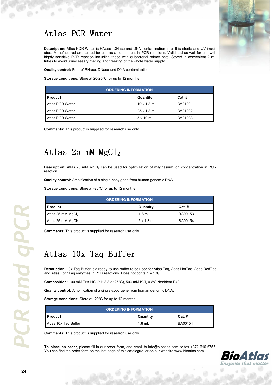### Atlas PCR Water



**Description:** Atlas PCR Water is RNase, DNase and DNA contamination free. It is sterile and UV irradiated. Manufactured and tested for use as a component in PCR reactions. Validated as well for use with highly sensitive PCR reaction including those with eubacterial primer sets. Stored in convenient 2 mL tubes to avoid unnecessary melting and freezing of the whole water supply.

**Quality control:** Free of RNase, DNase and DNA contamination

**Storage conditions:** Store at 20-25°C for up to 12 months

| <b>ORDERING INFORMATION</b> |                    |         |
|-----------------------------|--------------------|---------|
| <b>Product</b>              | Quantity           | Cat.#   |
| Atlas PCR Water             | $10 \times 1.8$ mL | BA01201 |
| Atlas PCR Water             | $25 \times 1.8$ mL | BA01202 |
| Atlas PCR Water             | $5 \times 10$ mL   | BA01203 |

**Comments:** This product is supplied for research use only.

### Atlas 25 mM MgCl<sup>2</sup>

**Description:** Atlas 25 mM MgCl<sub>2</sub> can be used for optimization of magnesium ion concentration in PCR reaction.

**Quality control:** Amplification of a single-copy gene from human genomic DNA.

**Storage conditions:** Store at -20°C for up to 12 months

| <b>ORDERING INFORMATION</b> |                   |          |
|-----------------------------|-------------------|----------|
| <b>Product</b>              | Quantity          | $Cat.$ # |
| Atlas 25 mM $MgCl2$         | $1.8$ mL          | BA00153  |
| Atlas 25 mM $MgCl2$         | $5 \times 1.8$ mL | BA00154  |

**Comments:** This product is supplied for research use only.

### Atlas 10x Taq Buffer

**Description:** 10x Taq Buffer is a ready-to-use buffer to be used for Atlas Taq, Atlas HotTaq, Atlas RedTaq and Atlas LongTag enzymes in PCR reactions. Does not contain MgCl<sub>2</sub>.

**Composition:** 100 mM Tris-HCl (pH 8.8 at 25°C), 500 mM KCl, 0.8% Nonident P40.

**Quality control:** Amplification of a single-copy gene from human genomic DNA.

**Storage conditions:** Store at -20°C for up to 12 months.

| <b>ORDERING INFORMATION</b> |          |          |
|-----------------------------|----------|----------|
| I Product                   | Quantity | $Cat.$ # |
| Atlas 10x Tag Buffer        | $1.8$ mL | BA00151  |

**Comments:** This product is supplied for research use only.

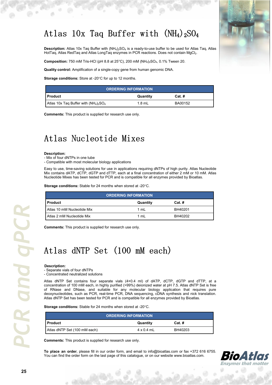### Atlas 10x Taq Buffer with  $(NH<sub>4</sub>)<sub>2</sub>SO<sub>4</sub>$

**Description:** Atlas 10x Taq Buffer with (NH<sub>4</sub>)<sub>2</sub>SO<sub>4</sub> is a ready-to-use buffer to be used for Atlas Taq, Atlas HotTaq, Atlas RedTaq and Atlas LongTaq enzymes in PCR reactions. Does not contain MgCl $_2$ .

**Composition:** 750 mM Tris-HCl (pH 8.8 at 25 $^{\circ}$ C), 200 mM (NH<sub>4</sub>)<sub>2</sub>SO<sub>4</sub>, 0.1% Tween 20.

**Quality control:** Amplification of a single-copy gene from human genomic DNA.

Storage conditions: Store at -20°C for up to 12 months.

| <b>ORDERING INFORMATION</b>              |          |          |  |
|------------------------------------------|----------|----------|--|
| I Product                                | Quantity | $Cat.$ # |  |
| Atlas 10x Tag Buffer with $(NH_4)_2SO_4$ | $1.8$ mL | BA00152  |  |

**Comments:** This product is supplied for research use only.

### Atlas Nucleotide Mixes

#### **Description:**

- Mix of four dNTPs in one tube

- Compatible with most molecular biology applications

Easy to use, time-saving solutions for use in applications requiring dNTPs of high purity. Atlas Nucleotide Mix contains dATP, dCTP, dGTP and dTTP, each at a final concentration of either 2 mM or 10 mM. Atlas Nucleotide Mixes has been tested for PCR and is compatible for all enzymes provided by Bioatlas.

Storage conditions: Stable for 24 months when stored at -20°C.

| <b>ORDERING INFORMATION</b> |          |          |  |
|-----------------------------|----------|----------|--|
| <b>Product</b>              | Quantity | $Cat.$ # |  |
| Atlas 10 mM Nucleotide Mix  | 1 mL     | BH40201  |  |
| Atlas 2 mM Nucleotide Mix   | 1 mL     | BH40202  |  |

**Comments:** This product is supplied for research use only.

### Atlas dNTP Set (100 mM each)

#### **Description:**

- Separate vials of four dNTPs

- Concentrated neutralized solutions

Atlas dNTP Set contains four separate vials (4×0.4 ml) of dATP, dCTP, dGTP and dTTP, at a concentration of 100 mM each, in highly purified (>99%) deionized water at pH 7.5. Atlas dNTP Set is free of RNase and DNase, and suitable for any molecular biology application that requires pure deoxynucleotides, such as PCR, real-time PCR, DNA sequencing, cDNA synthesis and nick translation. Atlas dNTP Set has been tested for PCR and is compatible for all enzymes provided by Bioatlas.

Storage conditions: Stable for 24 months when stored at -20°C.

| <b>ORDERING INFORMATION</b>  |                   |          |
|------------------------------|-------------------|----------|
| l Product                    | Quantity          | $Cat.$ # |
| Atlas dNTP Set (100 mM each) | $4 \times 0.4$ mL | BH40203  |

**Comments:** This product is supplied for research use only.

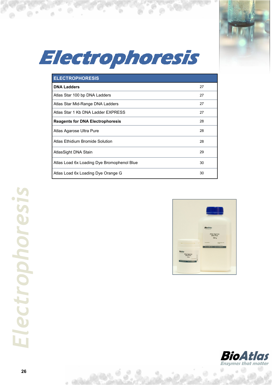

## Electrophoresis

Ъ

 $\Theta$ 

ä

 $\mathbb{R}$   $\mathbb{R}$   $\mathbb{R}$   $\mathbb{R}$ 

| <b>ELECTROPHORESIS</b>                     |    |
|--------------------------------------------|----|
| <b>DNA Ladders</b>                         | 27 |
| Atlas Star 100 bp DNA Ladders              | 27 |
| Atlas Star Mid-Range DNA Ladders           | 27 |
| Atlas Star 1 Kb DNA Ladder EXPRESS         | 27 |
| <b>Reagents for DNA Electrophoresis</b>    | 28 |
| Atlas Agarose Ultra Pure                   | 28 |
| Atlas Ethidium Bromide Solution            | 28 |
| AtlasSight DNA Stain                       | 29 |
| Atlas Load 6x Loading Dye Bromophenol Blue | 30 |
| Atlas Load 6x Loading Dye Orange G         | 30 |





 $. 60$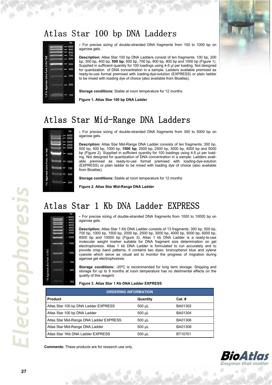### Atlas Star 100 bp DNA Ladders



**-** For precise sizing of double-stranded DNA fragments from 100 to 1000 bp on agarose gels.

**Description:** Atlas Star 100 bp DNA Ladders consist of ten fragments: 100 bp, 200 bp, 300 bp, 400 bp, **500 bp**, 600 bp, 700 bp, 800 bp, 900 bp and 1000 bp (Figure 1). Supplied in sufficient quantity for 100 loadings using 4-5 µl per loading. Not designed for quantization of DNA concentration in a sample. Ladders available premixed as ready-to-use format premixed with loading-dye-solution (EXPRESS) or plain ladder to be mixed with loading dye of choice (also available from Bioatlas).

**Storage conditions:** Stable at room temperature for 12 months

**Figure 1. Atlas Star 100 bp DNA Ladder** 

### Atlas Star Mid-Range DNA Ladders



**-** For precise sizing of double-stranded DNA fragments from 300 to 5000 bp on agarose gels.

**Description:** Atlas Star Mid-Range DNA Ladder consists of ten fragments: 300 bp, 500 bp, 500 bp, 1000 bp, **1500 bp**, 2000 bp, 2500 bp, 3000 bp, 4000 bp and 5000 bp (Figure 2). Supplied in sufficient quantity for 100 loadings using 4-5 ul per loading. Not designed for quantization of DNA concentration in a sample. Ladders available premixed as ready-to-use format premixed with loading-dye-solution (EXPRESS) or plain ladder to be mixed with loading dye of choice (also available from Bioatlas).

**Storage conditions:** Stable at room temperature for 12 months

**Figure 2. Atlas Star Mid-Range DNA Ladder** 

### Atlas Star 1 Kb DNA Ladder EXPRESS



**-** For precise sizing of double-stranded DNA fragments from 1000 to 10000 bp on agarose gels.

**Description:** Atlas Star 1 Kb DNA Ladder consists of 13 fragments: 300 bp, 500 bp, 700 bp, 1000 bp, 1500 bp, 2000 bp, 2500 bp, 3000 bp, 4000 bp, 5000 bp, 6000 bp, 8000 bp and 10000 bp (Figure 3). Atlas 1 kb DNA Ladder is a ready-to-use molecular weight marker suitable for DNA fragment size determination on gel electrophoresis. Atlas 1 kb DNA Ladder is formulated to run accurately and to provide crisp band patterns. It contains two dyes: bromophenol blue and xylene cyanole which serve as visual aid to monitor the progress of migration during agarose gel electrophoresis.

**Storage conditions:** -20ºC is recommended for long term storage. Shipping and storage for up to 9 months at room temperature has no detrimental effects on the quality of this reagent.

| <b>ORDERING INFORMATION</b>             |          |          |  |
|-----------------------------------------|----------|----------|--|
| <b>Product</b>                          | Quantity | $Cat.$ # |  |
| Atlas Star 100 bp DNA Ladder EXPRESS    | 500 µL   | BA01302  |  |
| Atlas Star 100 bp DNA Ladder            | 500 µL   | BA01304  |  |
| Atlas Star Mid-Range DNA Ladder EXPRESS | 500 µL   | BA01306  |  |
| Atlas Star Mid-Range DNA Ladder         | 500 µL   | BA01308  |  |
| Atlas Star 1Kb DNA Ladder EXPRESS       | 500 µL   | BT10701  |  |

**Comments:** These products are for research use only.

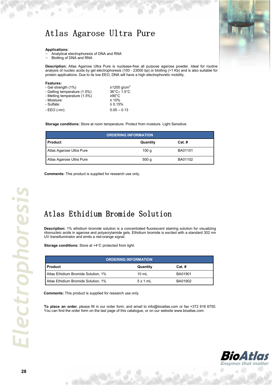### Atlas Agarose Ultra Pure

#### **Applications:**

- − Analytical electrophoresis of DNA and RNA
- Blotting of DNA and RNA

**Description:** Atlas Agarose Ultra Pure is nuclease-free all purpose agarose powder. Ideal for routine analysis of nucleic acids by gel electrophoresis (100 - 23000 bp) or blotting (>1 Kb) and is also suitable for protein applications. Due to its low EEO, DNA will have a high electrophoretic mobility.

| Features:<br>- Gel strength (1%)<br>- Gelling temperature (1.5%)<br>- Melting temperature (1.5%) | ≥1200 g/cm <sup>2</sup><br>36°C± 1.5°C<br>$≥90^{\circ}$ C |
|--------------------------------------------------------------------------------------------------|-----------------------------------------------------------|
| - Moisture:<br>- Sulfate:                                                                        | $\leq 10\%$<br>≤ 0.15%                                    |
| $-EEO(-mr)$ :                                                                                    | $0.05 - 0.13$                                             |

**Storage conditions:** Store at room temperature. Protect from moisture. Light Sensitive.

| <b>ORDERING INFORMATION</b> |                  |          |  |
|-----------------------------|------------------|----------|--|
| <b>Product</b>              | Quantity         | $Cat.$ # |  |
| Atlas Agarose Ultra Pure    | 100 g            | BA01101  |  |
| Atlas Agarose Ultra Pure    | 500 <sub>g</sub> | BA01102  |  |

**Comments:** This product is supplied for research use only.

### Atlas Ethidium Bromide Solution

**Description:** 1% ethidium bromide solution is a concentrated fluorescent staining solution for visualizing ribonucleic acids in agarose and polyacrylamide gels. Ethidium bromide is excited with a standard 302 nm UV transilluminator and emits a red-orange signal.

**Storage conditions:** Store at +4°C protected from light.

| <b>ORDERING INFORMATION</b>         |                 |          |  |
|-------------------------------------|-----------------|----------|--|
| <b>Product</b>                      | Quantity        | $Cat.$ # |  |
| Atlas Ethidium Bromide Solution, 1% | $10 \text{ mL}$ | BA01901  |  |
| Atlas Ethidium Bromide Solution, 1% | $5 \times 1$ mL | BA01902  |  |

**Comments:** This product is supplied for research use only.





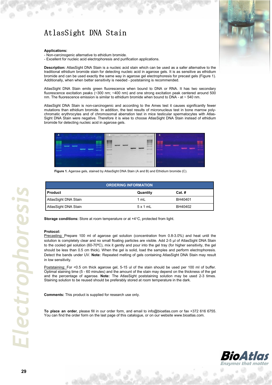### AtlasSight DNA Stain

#### **Applications:**

- Non-carcinogenic alternative to ethidium bromide.

- Excellent for nucleic acid electrophoresis and purification applications.

**Description:** AtlasSight DNA Stain is a nucleic acid stain which can be used as a safer alternative to the traditional ethidium bromide stain for detecting nucleic acid in agarose gels. It is as sensitive as ethidium bromide and can be used exactly the same way in agarose gel electrophoresis for precast gels (Figure 1). Additionally, when when better sensitivity is needed - poststaining is recommended.

AtlasSight DNA Stain emits green fluorescence when bound to DNA or RNA. It has two secondary fluorescence excitation peaks (~300 nm; ~400 nm) and one strong excitation peak centered around 500 nm. The fluorescence emission is similar to ethidium bromide when bound to DNA - at  $\sim$  540 nm.

AtlasSight DNA Stain is non-carcinogenic and according to the Ames test it causes significantly fewer mutations than ethidium bromide. In addition, the test results of micronucleus test in bone marrow polychromatic erythrocytes and of chromosomal aberration test in mice testicular spermatocytes with Atlas-Sight DNA Stain were negative. Therefore it is wise to choose AtlasSight DNA Stain instead of ethidium bromide for detecting nucleic acid in agarose gels.



**Figure 1.** Agarose gels, stained by AtlasSight DNA Stain (A and B) and Ethidium bromide (C).

| <b>ORDERING INFORMATION</b> |          |          |  |
|-----------------------------|----------|----------|--|
| l Product                   | Quantity | $Cat.$ # |  |
| AtlasSight DNA Stain        | 1 mL     | BH40401  |  |
| AtlasSight DNA Stain        | 5x1mL    | BH40402  |  |

**Storage conditions:** Store at room temperature or at +4°C, protected from light.

#### **Protocol:**

Precasting: Prepare 100 ml of agarose gel solution (concentration from 0.8-3.0%) and heat until the solution is completely clear and no small floating particles are visible. Add 2-5 µl of AtlasSight DNA Stain to the cooled gel solution (60-70ºC), mix it gently and pour into the gel tray (for higher sensitivity, the gel should be less than 0.5 cm thick). When the gel is solid, load the samples and perform electrophoresis. Detect the bands under UV. **Note:** Repeated melting of gels containing AtlasSight DNA Stain may result in low sensitivity.

Poststaining: For <0.5 cm thick agarose gel, 5-15 ul of the stain should be used per 100 ml of buffer. Optimal staining time (5 - 60 minutes) and the amount of the stain may depend on the thickness of the gel and the percentage of agarose. **Note:** The AtlasSight poststaining solution may be used 2-3 times. Staining solution to be reused should be preferably stored at room temperature in the dark.

**Comments:** This product is supplied for research use only.





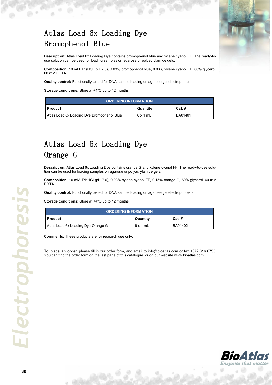

### Atlas Load 6x Loading Dye Bromophenol Blue

**Description:** Atlas Load 6x Loading Dye contains bromophenol blue and xylene cyanol FF. The ready-touse solution can be used for loading samples on agarose or polyacrylamide gels.

**Composition:** 10 mM TrisHCl (pH 7.6), 0.03% bromophenol blue, 0.03% xylene cyanol FF, 60% glycerol, 60 mM EDTA

**Quality control:** Functionally tested for DNA sample loading on agarose gel electrophoresis

**Storage conditions:** Store at +4°C up to 12 months.

| <b>ORDERING INFORMATION</b>                |          |          |  |
|--------------------------------------------|----------|----------|--|
| I Product                                  | Quantity | $Cat.$ # |  |
| Atlas Load 6x Loading Dye Bromophenol Blue | 6x1mL    | BA01401  |  |

### Atlas Load 6x Loading Dye Orange G

**Description:** Atlas Load 6x Loading Dye contains orange G and xylene cyanol FF. The ready-to-use solution can be used for loading samples on agarose or polyacrylamide gels.

**Composition:** 10 mM TrisHCl (pH 7.6), 0.03% xylene cyanol FF, 0.15% orange G, 60% glycerol, 60 mM EDTA

**Quality control:** Functionally tested for DNA sample loading on agarose gel electrophoresis

**Storage conditions:** Store at +4°C up to 12 months.

| <b>ORDERING INFORMATION</b>        |          |          |
|------------------------------------|----------|----------|
| l Product                          | Quantity | $Cat.$ # |
| Atlas Load 6x Loading Dye Orange G | 6x1mL    | BA01402  |

**Comments:** These products are for research use only.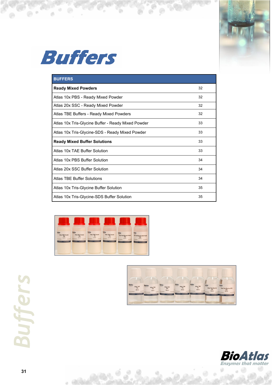



ø

 $\overline{a}$ 

| <b>BUFFERS</b>                                     |    |
|----------------------------------------------------|----|
| <b>Ready Mixed Powders</b>                         | 32 |
| Atlas 10x PBS - Ready Mixed Powder                 | 32 |
| Atlas 20x SSC - Ready Mixed Powder                 | 32 |
| Atlas TBE Buffers - Ready Mixed Powders            | 32 |
| Atlas 10x Tris-Glycine Buffer - Ready Mixed Powder | 33 |
| Atlas 10x Tris-Glycine-SDS - Ready Mixed Powder    | 33 |
| <b>Ready Mixed Buffer Solutions</b>                | 33 |
| Atlas 10x TAF Buffer Solution                      | 33 |
| Atlas 10x PBS Buffer Solution                      | 34 |
| Atlas 20x SSC Buffer Solution                      | 34 |
| Atlas TBF Buffer Solutions                         | 34 |
| Atlas 10x Tris-Glycine Buffer Solution             | 35 |
| Atlas 10x Tris-Glycine-SDS Buffer Solution         | 35 |

'n







ä

a

**31** *Buffers*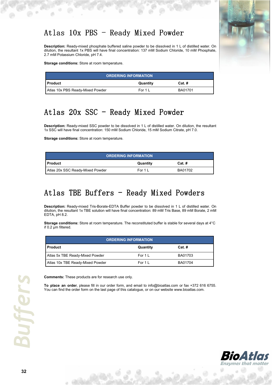### Atlas  $10x$  PBS - Ready Mixed Powder

**Description:** Ready-mixed phosphate buffered saline powder to be dissolved in 1 L of distilled water. On dilution, the resultant 1x PBS will have final concentration: 137 mM Sodium Chloride, 10 mM Phosphate, 2.7 mM Potassium Chloride, pH 7.4.

**Storage conditions:** Store at room temperature.

| <b>ORDERING INFORMATION</b>      |           |          |  |
|----------------------------------|-----------|----------|--|
| I Product                        | Quantity  | $Cat.$ # |  |
| Atlas 10x PBS Ready-Mixed Powder | For $1 L$ | BA01701  |  |

### Atlas  $20x$  SSC - Ready Mixed Powder

**Description:** Ready-mixed SSC powder to be dissolved in 1 L of distilled water. On dilution, the resultant 1x SSC will have final concentration: 150 mM Sodium Chloride, 15 mM Sodium Citrate, pH 7.0.

**Storage conditions:** Store at room temperature.

| <b>ORDERING INFORMATION</b>       |              |         |  |  |
|-----------------------------------|--------------|---------|--|--|
| $Cat.$ #<br>l Product<br>Quantity |              |         |  |  |
| Atlas 20x SSC Ready-Mixed Powder  | For $1 \,$ L | BA01702 |  |  |

### Atlas TBE Buffers - Ready Mixed Powders

**Description:** Ready-mixed Tris-Borate-EDTA Buffer powder to be dissolved in 1 L of distilled water. On dilution, the resultant 1x TBE solution will have final concentration: 89 mM Tris Base, 89 mM Borate, 2 mM EDTA, pH 8.2.

**Storage conditions:** Store at room temperature. The reconstituted buffer is stable for several days at 4°C if 0.2 µm filtered.

| <b>ORDERING INFORMATION</b>            |                    |         |  |  |
|----------------------------------------|--------------------|---------|--|--|
| <b>Product</b><br>Quantity<br>$Cat.$ # |                    |         |  |  |
| Atlas 5x TBE Ready-Mixed Powder        | For $1 \mathsf{L}$ | BA01703 |  |  |
| Atlas 10x TBE Ready-Mixed Powder       | For $1L$           | BA01704 |  |  |



**Comments:** These products are for research use only.



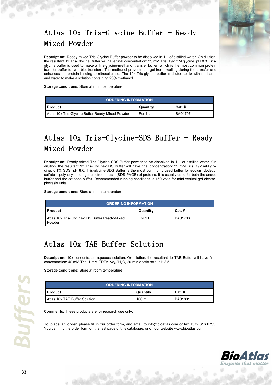### Atlas  $10x$  Tris-Glycine Buffer - Ready Mixed Powder



**Description:** Ready-mixed Tris-Glycine Buffer powder to be dissolved in 1 L of distilled water. On dilution, the resultant 1x Tris-Glycine Buffer will have final concentration: 25 mM Tris, 192 mM glycine, pH 8.3. Trisglycine buffer is used to make a Tris-glycine-methanol transfer buffer, which is the most common protein transfer buffer for wet blot transfers. The methanol prevents the gel from swelling during the transfer and enhances the protein binding to nitrocellulose. The 10x Tris-glycine buffer is diluted to 1x with methanol and water to make a solution containing 20% methanol.

**Storage conditions:** Store at room temperature.

| <b>ORDERING INFORMATION</b>                      |          |          |  |
|--------------------------------------------------|----------|----------|--|
| <b>∣Product</b>                                  | Quantity | $Cat.$ # |  |
| Atlas 10x Tris-Glycine Buffer Ready-Mixed Powder | For 1 L  | BA01707  |  |

### Atlas  $10x$  Tris-Glycine-SDS Buffer - Ready Mixed Powder

**Description:** Ready-mixed Tris-Glycine-SDS Buffer powder to be dissolved in 1 L of distilled water. On dilution, the resultant 1x Tris-Glycine-SDS Buffer will have final concentration: 25 mM Tris, 192 mM glycine, 0.1% SDS, pH 8.6. Tris-glycine-SDS Buffer is the most commonly used buffer for sodium dodecyl sulfate – polyacrylamide gel electrophoresis (SDS-PAGE) of proteins. It is usually used for both the anode buffer and the cathode buffer. Recommended running conditions is 150 volts for mini vertical gel electrophoresis units.

**Storage conditions:** Store at room temperature.

| <b>ORDERING INFORMATION</b>                             |          |          |  |
|---------------------------------------------------------|----------|----------|--|
| <b>I</b> Product                                        | Quantity | $Cat.$ # |  |
| Atlas 10x Tris-Glycine-SDS Buffer Ready-Mixed<br>Powder | For $1L$ | BA01708  |  |

### Atlas 10x TAE Buffer Solution

**Description:** 10x concentrated aqueous solution. On dilution, the resultant 1x TAE Buffer will have final concentration: 40 mM Tris, 1 mM EDTA-Na<sub>2</sub>·2H<sub>2</sub>O, 20 mM acetic acid, pH 8.5.

**Storage conditions:** Store at room temperature.

| <b>ORDERING INFORMATION</b>   |          |          |  |
|-------------------------------|----------|----------|--|
| <b>Product</b>                | Quantity | $Cat.$ # |  |
| Atlas 10x TAE Buffer Solution | 100 mL   | BA01801  |  |

**Comments:** These products are for research use only.

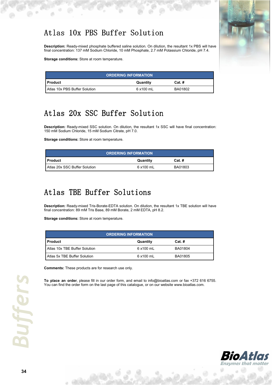### Atlas 10x PBS Buffer Solution

**Description:** Ready-mixed phosphate buffered saline solution. On dilution, the resultant 1x PBS will have final concentration: 137 mM Sodium Chloride, 10 mM Phosphate, 2.7 mM Potassium Chloride, pH 7.4.

**Storage conditions:** Store at room temperature.

| <b>ORDERING INFORMATION</b>   |           |          |  |
|-------------------------------|-----------|----------|--|
| I Product                     | Quantity  | $Cat.$ # |  |
| Atlas 10x PBS Buffer Solution | 6 x100 mL | BA01802  |  |

### Atlas 20x SSC Buffer Solution

**Description:** Ready-mixed SSC solution. On dilution, the resultant 1x SSC will have final concentration: 150 mM Sodium Chloride, 15 mM Sodium Citrate, pH 7.0.

**Storage conditions:** Store at room temperature.

| <b>ORDERING INFORMATION</b>   |           |          |  |
|-------------------------------|-----------|----------|--|
| I Product                     | Quantity  | $Cat.$ # |  |
| Atlas 20x SSC Buffer Solution | 6 x100 mL | BA01803  |  |

### Atlas TBE Buffer Solutions

**Description:** Ready-mixed Tris-Borate-EDTA solution. On dilution, the resultant 1x TBE solution will have final concentration: 89 mM Tris Base, 89 mM Borate, 2 mM EDTA, pH 8.2.

**Storage conditions:** Store at room temperature.

| <b>ORDERING INFORMATION</b>   |           |          |  |
|-------------------------------|-----------|----------|--|
| <b>Product</b>                | Quantity  | $Cat.$ # |  |
| Atlas 10x TBE Buffer Solution | 6 x100 mL | BA01804  |  |
| Atlas 5x TBE Buffer Solution  | 6 x100 mL | BA01805  |  |

**Comments:** These products are for research use only.

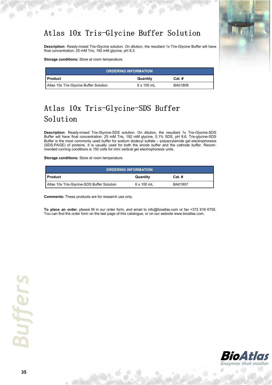### Atlas 10x Tris-Glycine Buffer Solution

**Description:** Ready-mixed Tris-Glycine solution. On dilution, the resultant 1x Tris-Glycine Buffer will have final concentration: 25 mM Tris, 192 mM glycine, pH 8.3.

**Storage conditions:** Store at room temperature.

| <b>ORDERING INFORMATION</b>            |                   |         |  |  |
|----------------------------------------|-------------------|---------|--|--|
| I Product<br>$Cat.$ #<br>Quantity      |                   |         |  |  |
| Atlas 10x Tris-Glycine Buffer Solution | $6 \times 100$ mL | BA01806 |  |  |

### Atlas 10x Tris-Glycine-SDS Buffer Solution

**Description:** Ready-mixed Tris-Glycine-SDS solution. On dilution, the resultant 1x Tris-Glycine-SDS Buffer will have final concentration: 25 mM Tris, 192 mM glycine, 0.1% SDS, pH 8.6. Tris-glycine-SDS Buffer is the most commonly used buffer for sodium dodecyl sulfate – polyacrylamide gel electrophoresis (SDS-PAGE) of proteins. It is usually used for both the anode buffer and the cathode buffer. Recommended running conditions is 150 volts for mini vertical gel electrophoresis units.

**Storage conditions:** Store at room temperature.

| <b>ORDERING INFORMATION</b>                |                   |          |  |
|--------------------------------------------|-------------------|----------|--|
| I Product                                  | Quantity          | $Cat.$ # |  |
| Atlas 10x Tris-Glycine-SDS Buffer Solution | $6 \times 100$ mL | BA01807  |  |

**Comments:** These products are for research use only.



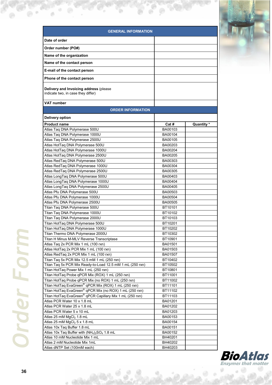| <b>GENERAL INFORMATION</b>                                                       |         |            |
|----------------------------------------------------------------------------------|---------|------------|
| Date of order                                                                    |         |            |
| Order number (PO#)                                                               |         |            |
|                                                                                  |         |            |
| Name of the organization                                                         |         |            |
| Name of the contact person                                                       |         |            |
| E-mail of the contact person                                                     |         |            |
| Phone of the contact person                                                      |         |            |
| Delivery and Invoicing address (please<br>indicate two, in case they differ)     |         |            |
| VAT number                                                                       |         |            |
| <b>ORDER INFORMATION</b>                                                         |         |            |
| <b>Delivery option</b>                                                           |         |            |
| <b>Product name</b>                                                              | Cat #   | Quantity * |
| Atlas Tag DNA Polymerase 500U                                                    | BA00103 |            |
| Atlas Taq DNA Polymerase 1000U                                                   | BA00104 |            |
| Atlas Taq DNA Polymerase 2500U                                                   | BA00105 |            |
| Atlas HotTaq DNA Polymerase 500U                                                 | BA00203 |            |
| Atlas HotTaq DNA Polymerase 1000U                                                | BA00204 |            |
| Atlas HotTaq DNA Polymerase 2500U                                                | BA00205 |            |
| Atlas RedTaq DNA Polymerase 500U                                                 | BA00303 |            |
| Atlas RedTag DNA Polymerase 1000U                                                | BA00304 |            |
| Atlas RedTaq DNA Polymerase 2500U                                                | BA00305 |            |
| Atlas LongTaq DNA Polymerase 500U                                                | BA00403 |            |
| Atlas LongTaq DNA Polymerase 1000U                                               | BA00404 |            |
| Atlas LongTaq DNA Polymerase 2500U                                               | BA00405 |            |
| Atlas Pfu DNA Polymerase 500U                                                    | BA00503 |            |
| Atlas Pfu DNA Polymerase 1000U                                                   | BA00504 |            |
| Atlas Pfu DNA Polymerase 2500U                                                   | BA00505 |            |
| Titan Taq DNA Polymerase 500U                                                    | BT10101 |            |
| Titan Taq DNA Polymerase 1000U                                                   | BT10102 |            |
| Titan Taq DNA Polymerase 2000U                                                   | BT10103 |            |
| Titan HotTaq DNA Polymerase 500U                                                 | BT10201 |            |
| Titan HotTaq DNA Polymerase 1000U                                                | BT10202 |            |
| Titan Thermo DNA Polymerase 2000U                                                | BT10302 |            |
| Titan H Minus M-MLV Reverse Transcriptase                                        | BT10901 |            |
| Atlas Taq 2x PCR Mix 1 mL (100 rxn)                                              | BA01501 |            |
| Atlas HotTaq 2x PCR Mix 1 mL (100 rxn)                                           | BA01503 |            |
| Atlas RedTaq 2x PCR Mix 1 mL (100 rxn)                                           | BA01507 |            |
| Titan Taq 5x PCR Mix 12.5 mM 1 mL (250 rxn)                                      | BT10402 |            |
| Titan Tag 5x PCR Mix Ready-to-Load 12.5 mM 1 mL (250 rxn)                        | BT10502 |            |
| Titan HotTaq Power Mix 1 mL (250 rxn)                                            | BT10801 |            |
| Titan HotTaq Probe qPCR Mix (ROX) 1 mL (250 rxn)                                 | BT11001 |            |
| Titan HotTaq Probe qPCR Mix (no ROX) 1 mL (250 rxn)                              | BT11002 |            |
| Titan HotTaq EvaGreen <sup>®</sup> qPCR Mix (ROX) 1 mL (250 rxn)                 | BT11101 |            |
| Titan HotTaq EvaGreen® qPCR Mix (no ROX) 1 mL (250 rxn)                          | BT11102 |            |
| Titan HotTaq EvaGreen® qPCR Capillary Mix 1 mL (250 rxn)                         | BT11103 |            |
| Atlas PCR Water 10 x 1.8 mL                                                      | BA01201 |            |
| Atlas PCR Water 25 x 1.8 mL                                                      | BA01202 |            |
| Atlas PCR Water 5 x 10 mL                                                        | BA01203 |            |
| Atlas 25 mM MgCl <sub>2</sub> 1.8 mL                                             | BA00153 |            |
| Atlas 25 mM MgCl <sub>2</sub> 5 x 1.8 mL                                         | BA00154 |            |
| Atlas 10x Taq Buffer 1.8 mL                                                      | BA00151 |            |
| Atlas 10x Taq Buffer with (NH <sub>4</sub> ) <sub>2</sub> SO <sub>4</sub> 1.8 mL | BA00152 |            |
| Atlas 10 mM Nucleotide Mix 1 mL                                                  | BH40201 |            |
| Atlas 2 mM Nucleotide Mix 1mL                                                    | BH40202 |            |
| Atlas dNTP Set (100mM each)                                                      | BH40203 |            |

ь



 $\circ$  0

ø

 $\sim$  0.

۰

 $\ddot{\phi}$